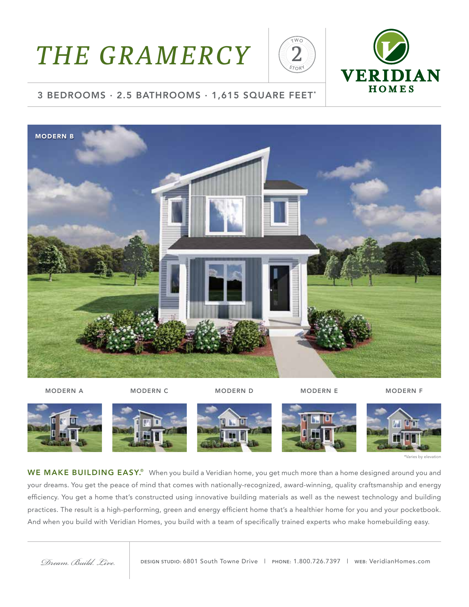# *THE GRAMERCY*





#### 3 BEDROOMS · 2.5 BATHROOMS · 1,615 SQUARE FEET\*



MODERN A MODERN COMODERN DUIT MODERN ENDERN FONDERN FOR MODERN FONDERN FONDERN FONDERN FONDERN FONDERN FONDER



WE MAKE BUILDING EASY.<sup>®</sup> When you build a Veridian home, you get much more than a home designed around you and your dreams. You get the peace of mind that comes with nationally-recognized, award-winning, quality craftsmanship and energy efficiency. You get a home that's constructed using innovative building materials as well as the newest technology and building practices. The result is a high-performing, green and energy efficient home that's a healthier home for you and your pocketbook. And when you build with Veridian Homes, you build with a team of specifically trained experts who make homebuilding easy.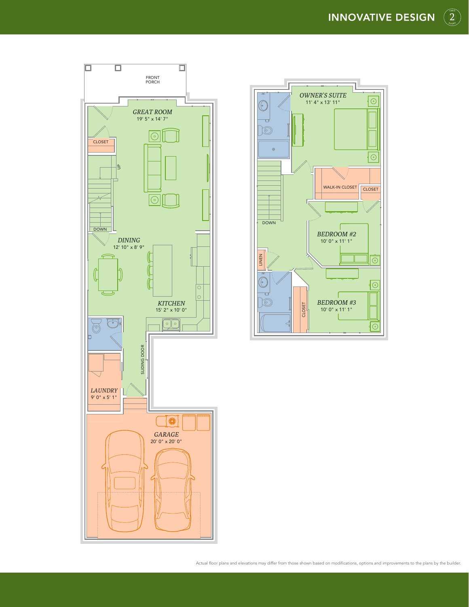$\binom{2}{2}$ srost





Actual floor plans and elevations may differ from those shown based on modifications, options and improvements to the plans by the builder.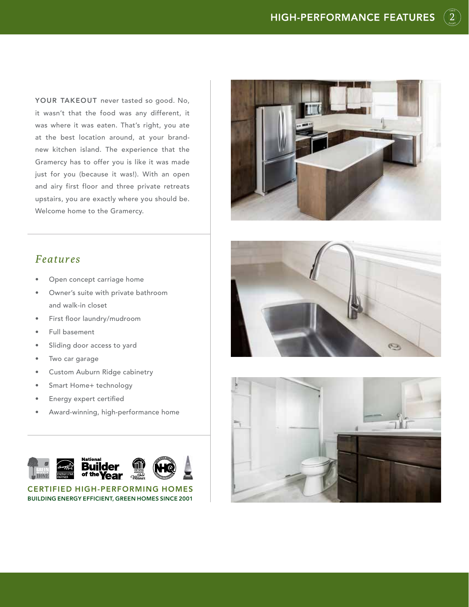$\binom{2}{2}$ srost

YOUR TAKEOUT never tasted so good. No, it wasn't that the food was any different, it was where it was eaten. That's right, you ate at the best location around, at your brandnew kitchen island. The experience that the Gramercy has to offer you is like it was made just for you (because it was!). With an open and airy first floor and three private retreats upstairs, you are exactly where you should be. Welcome home to the Gramercy.



#### *Features*

- Open concept carriage home
- Owner's suite with private bathroom and walk-in closet
- First floor laundry/mudroom
- Full basement
- Sliding door access to yard
- Two car garage
- Custom Auburn Ridge cabinetry
- Smart Home+ technology
- Energy expert certified
- Award-winning, high-performance home



CERTIFIED HIGH-PERFORMING HOMES BUILDING ENERGY EFFICIENT, GREEN HOMES SINCE 2001